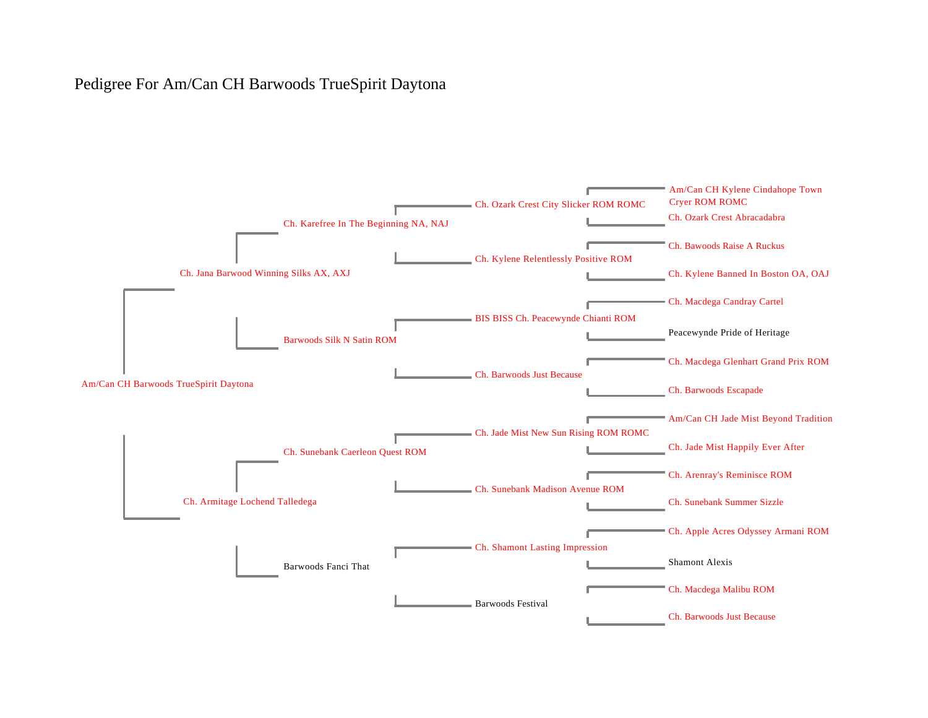## Pedigree For Am/Can CH Barwoods TrueSpirit Daytona